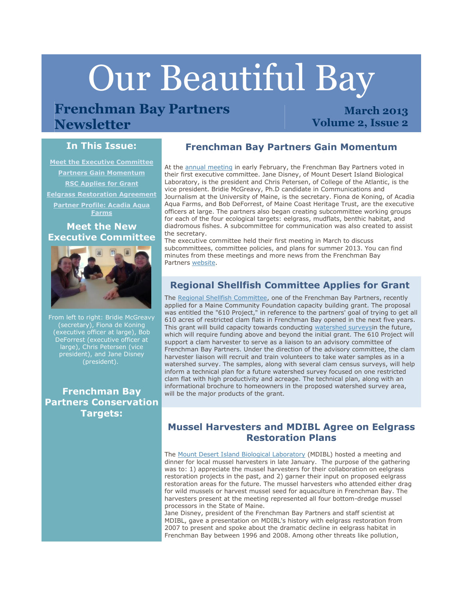# Our Beautiful Bay

## **Frenchman Bay Partners Newsletter**

**March 2013 Volume 2, Issue 2**

#### **In This Issue:**

**[Meet the Executive Committee](https://ui.constantcontact.com/visualeditor/visual_editor_preview.jsp?agent.uid=1112674674227#LETTER.BLOCK5) [Partners Gain Momentum](https://ui.constantcontact.com/visualeditor/visual_editor_preview.jsp?agent.uid=1112674674227#LETTER.BLOCK12) [RSC Applies for Grant](https://ui.constantcontact.com/visualeditor/visual_editor_preview.jsp?agent.uid=1112674674227#LETTER.BLOCK13) [Eelgrass Restoration Agreement](https://ui.constantcontact.com/visualeditor/visual_editor_preview.jsp?agent.uid=1112674674227#LETTER.BLOCK16) [Partner Profile: Acadia Aqua](https://ui.constantcontact.com/visualeditor/visual_editor_preview.jsp?agent.uid=1112674674227#LETTER.BLOCK17)  [Farms](https://ui.constantcontact.com/visualeditor/visual_editor_preview.jsp?agent.uid=1112674674227#LETTER.BLOCK17)**

#### **Meet the New Executive Committee**



From left to right: Bridie McGreavy (secretary), Fiona de Koning (executive officer at large), Bob DeForrest (executive officer at large), Chris Petersen (vice president), and Jane Disney (president).

**Frenchman Bay Partners Conservation Targets:**

#### **Frenchman Bay Partners Gain Momentum**

At the [annual meeting](http://r20.rs6.net/tn.jsp?e=001yzBOjH27zckiszJ_JS_Z04RTRj5sgOImbWIzMcn49hA8geVj4OqMznuCOioU_paAQILMAz1oGujDGhFjrJFQUQcooOmply1I-G53j5G9uzrQJA8oQ_UHJ6qCvlTuXJIUsaHxmkCJh12yNM11aYLbpn27kWuDwPLCBpDFyJ4sQrQKAoypYp_NeT_gGxX--UGQV36ja1EKqwFStEcDNrPn7w==) in early February, the Frenchman Bay Partners voted in their first executive committee. Jane Disney, of Mount Desert Island Biological Laboratory, is the president and Chris Petersen, of College of the Atlantic, is the vice president. Bridie McGreavy, Ph.D candidate in Communications and Journalism at the University of Maine, is the secretary. Fiona de Koning, of Acadia Aqua Farms, and Bob DeForrest, of Maine Coast Heritage Trust, are the executive officers at large. The partners also began creating subcommittee working groups for each of the four ecological targets: eelgrass, mudflats, benthic habitat, and diadromous fishes. A subcommittee for communication was also created to assist the secretary.

The executive committee held their first meeting in March to discuss subcommittees, committee policies, and plans for summer 2013. You can find minutes from these meetings and more news from the Frenchman Bay Partners [website.](http://r20.rs6.net/tn.jsp?e=001yzBOjH27zckiszJ_JS_Z04RTRj5sgOImbWIzMcn49hA8geVj4OqMznuCOioU_paAQILMAz1oGujDGhFjrJFQUQcooOmply1I-G53j5G9uzrQJA8oQ_UHJ5ZfrHBVHTiHZ6tshgzckJUh-C40Dx93ALvQKcQCJxl4)

#### **Regional Shellfish Committee Applies for Grant**

The [Regional Shellfish Committee,](http://r20.rs6.net/tn.jsp?e=001yzBOjH27zckiszJ_JS_Z04RTRj5sgOImbWIzMcn49hA8geVj4OqMznuCOioU_paAQILMAz1oGugPSf6MCpG7_m02ZrWR-0ex-gwWzDYSgNI82vDRCD-zZIMM00a5TxUV7IOrnE9ZniLvMF1fKWcFTA==) one of the Frenchman Bay Partners, recently applied for a Maine Community Foundation capacity building grant. The proposal was entitled the "610 Project," in reference to the partners' goal of trying to get all 610 acres of restricted clam flats in Frenchman Bay opened in the next five years. This grant will build capacity towards conducting [watershed surveysi](http://r20.rs6.net/tn.jsp?e=001yzBOjH27zckiszJ_JS_Z04RTRj5sgOImbWIzMcn49hA8geVj4OqMznuCOioU_paAQILMAz1oGujDGhFjrJFQUdK4xGCuBhlTm8Ia9nmkmTr1xTGuF9qh__yd6006pUiKHOtLZeUXBR6zpN7pa-RYbCavycVyxYS-paVKgbQENeJAA3uMpP14fv1V2uzusigN22tsviG-W04=)n the future, which will require funding above and beyond the initial grant. The 610 Project will support a clam harvester to serve as a liaison to an advisory committee of Frenchman Bay Partners. Under the direction of the advisory committee, the clam harvester liaison will recruit and train volunteers to take water samples as in a watershed survey. The samples, along with several clam census surveys, will help inform a technical plan for a future watershed survey focused on one restricted clam flat with high productivity and acreage. The technical plan, along with an informational brochure to homeowners in the proposed watershed survey area, will be the major products of the grant.

#### **Mussel Harvesters and MDIBL Agree on Eelgrass Restoration Plans**

The [Mount Desert Island Biological Laboratory](http://r20.rs6.net/tn.jsp?e=001yzBOjH27zckiszJ_JS_Z04RTRj5sgOImbWIzMcn49hA8geVj4OqMznuCOioU_paAQILMAz1oGujDGhFjrJFQUYnQGLdTYUEXxpXNcYYgHV0=) (MDIBL) hosted a meeting and dinner for local mussel harvesters in late January. The purpose of the gathering was to: 1) appreciate the mussel harvesters for their collaboration on eelgrass restoration projects in the past, and 2) garner their input on proposed eelgrass restoration areas for the future. The mussel harvesters who attended either drag for wild mussels or harvest mussel seed for aquaculture in Frenchman Bay. The harvesters present at the meeting represented all four bottom-dredge mussel processors in the State of Maine.

Jane Disney, president of the Frenchman Bay Partners and staff scientist at MDIBL, gave a presentation on MDIBL's history with eelgrass restoration from 2007 to present and spoke about the dramatic decline in eelgrass habitat in Frenchman Bay between 1996 and 2008. Among other threats like pollution,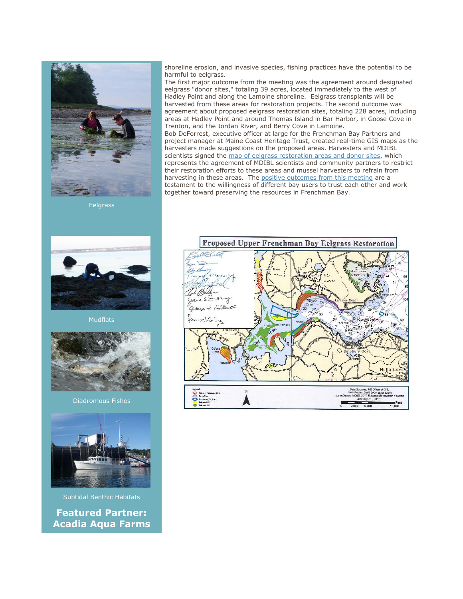

Eelgrass

shoreline erosion, and invasive species, fishing practices have the potential to be harmful to eelgrass.

The first major outcome from the meeting was the agreement around designated eelgrass "donor sites," totaling 39 acres, located immediately to the west of Hadley Point and along the Lamoine shoreline. Eelgrass transplants will be harvested from these areas for restoration projects. The second outcome was agreement about proposed eelgrass restoration sites, totaling 228 acres, including areas at Hadley Point and around Thomas Island in Bar Harbor, in Goose Cove in Trenton, and the Jordan River, and Berry Cove in Lamoine.

Bob DeForrest, executive officer at large for the Frenchman Bay Partners and project manager at Maine Coast Heritage Trust, created real-time GIS maps as the harvesters made suggestions on the proposed areas. Harvesters and MDIBL scientists signed the [map of eelgrass restoration areas and donor sites,](http://r20.rs6.net/tn.jsp?e=001yzBOjH27zckiszJ_JS_Z04RTRj5sgOImbWIzMcn49hA8geVj4OqMznuCOioU_paAQILMAz1oGujDGhFjrJFQUQcooOmply1I-G53j5G9uzrQJA8oQ_UHJ6qCvlTuXJIUsaHxmkCJh12yNM11aYLbpn27kWuDwPLCkJal-f5tD6Hn2b3uDR_w29f6Q_8eMHlyR30KOmkqFi2Hy-IAtWwxek9MyVQddIwPgjuCbUB78Q4=) which represents the agreement of MDIBL scientists and community partners to restrict their restoration efforts to these areas and mussel harvesters to refrain from harvesting in these areas. The [positive outcomes from this meeting](http://r20.rs6.net/tn.jsp?e=001yzBOjH27zckiszJ_JS_Z04RTRj5sgOImbWIzMcn49hA8geVj4OqMznuCOioU_paAQILMAz1oGujDGhFjrJFQUQcooOmply1I-G53j5G9uzrQJA8oQ_UHJ4QR-bfLhtb-XtPytKRkEBUgWfr3wQiGWzgmG3uCZbCsyglAq1mZkMA=) are a testament to the willingness of different bay users to trust each other and work together toward preserving the resources in Frenchman Bay.



**Mudflats** 



Diadromous Fishes



Subtidal Benthic Habitats

**Featured Partner: Acadia Aqua Farms**